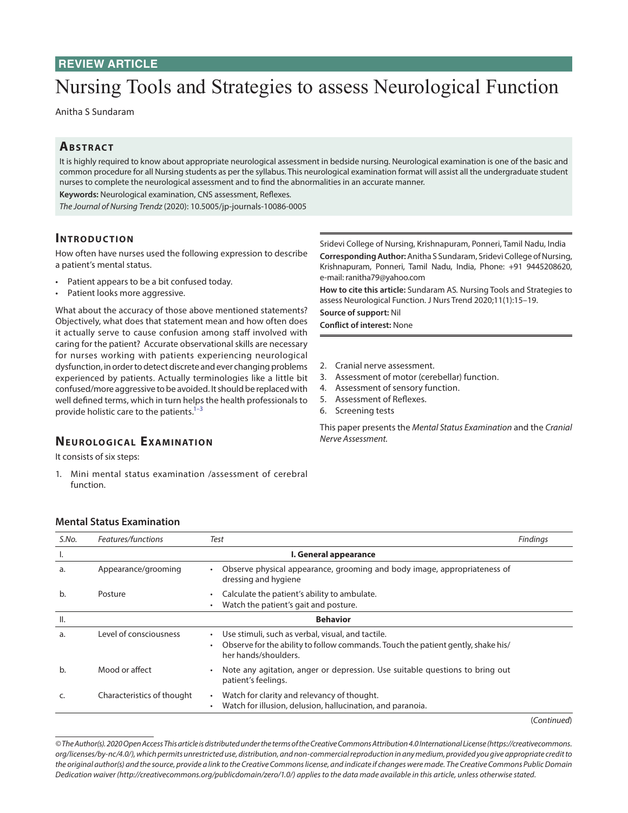## **REVIEW ARTICLE**

# Nursing Tools and Strategies to assess Neurological Function

Anitha S Sundaram

### **ABSTRACT**

It is highly required to know about appropriate neurological assessment in bedside nursing. Neurological examination is one of the basic and common procedure for all Nursing students as per the syllabus. This neurological examination format will assist all the undergraduate student nurses to complete the neurological assessment and to find the abnormalities in an accurate manner.

**Keywords:** Neurological examination, CNS assessment, Reflexes.

*The Journal of Nursing Trendz* (2020): 10.5005/jp-journals-10086-0005

#### **INTRODUCTION**

How often have nurses used the following expression to describe a patient's mental status.

- Patient appears to be a bit confused today.
- Patient looks more aggressive.

What about the accuracy of those above mentioned statements? Objectively, what does that statement mean and how often does it actually serve to cause confusion among staff involved with caring for the patient? Accurate observational skills are necessary for nurses working with patients experiencing neurological dysfunction, in order to detect discrete and ever changing problems experienced by patients. Actually terminologies like a little bit confused/more aggressive to be avoided. It should be replaced with well defined terms, which in turn helps the health professionals to provide holistic care to the patients.<sup>1-[3](#page-4-1)</sup>

#### **NEUROLOGICAL EXAMINATION**

It consists of six steps:

1. Mini mental status examination /assessment of cerebral function.

Sridevi College of Nursing, Krishnapuram, Ponneri, Tamil Nadu, India **Corresponding Author:** Anitha S Sundaram, Sridevi College of Nursing, Krishnapuram, Ponneri, Tamil Nadu, India, Phone: +91 9445208620, e-mail: ranitha79@yahoo.com

**How to cite this article:** Sundaram AS*.* Nursing Tools and Strategies to assess Neurological Function. J Nurs Trend 2020;11(1):15–19.

**Source of support:** Nil

**Conflict of interest:** None

- 2. Cranial nerve assessment.
- 3. Assessment of motor (cerebellar) function.
- 4. Assessment of sensory function.
- 5. Assessment of Reflexes.
- 6. Screening tests

This paper presents the *Mental Status Examination* and the *Cranial Nerve Assessment.*

| S.No.           | Features/functions         | Test                                                                                                                                                                       | <b>Findings</b> |
|-----------------|----------------------------|----------------------------------------------------------------------------------------------------------------------------------------------------------------------------|-----------------|
| Ι.              |                            | I. General appearance                                                                                                                                                      |                 |
| a.              | Appearance/grooming        | Observe physical appearance, grooming and body image, appropriateness of<br>dressing and hygiene                                                                           |                 |
| b.              | Posture                    | Calculate the patient's ability to ambulate.<br>Watch the patient's gait and posture.<br>٠                                                                                 |                 |
| $\mathsf{II}$ . |                            | <b>Behavior</b>                                                                                                                                                            |                 |
| a.              | Level of consciousness     | Use stimuli, such as verbal, visual, and tactile.<br>Observe for the ability to follow commands. Touch the patient gently, shake his/<br>$\bullet$<br>her hands/shoulders. |                 |
| b.              | Mood or affect             | Note any agitation, anger or depression. Use suitable questions to bring out<br>$\bullet$<br>patient's feelings.                                                           |                 |
| C.              | Characteristics of thought | Watch for clarity and relevancy of thought.<br>$\bullet$<br>Watch for illusion, delusion, hallucination, and paranoia.<br>٠                                                |                 |

#### **Mental Status Examination**

(*Continued*)

*<sup>©</sup> The Author(s). 2020 Open Access This article is distributed under the terms of the Creative Commons Attribution 4.0 International License (https://creativecommons. org/licenses/by-nc/4.0/), which permits unrestricted use, distribution, and non-commercial reproduction in any medium, provided you give appropriate credit to the original author(s) and the source, provide a link to the Creative Commons license, and indicate if changes were made. The Creative Commons Public Domain Dedication waiver (http://creativecommons.org/publicdomain/zero/1.0/) applies to the data made available in this article, unless otherwise stated.*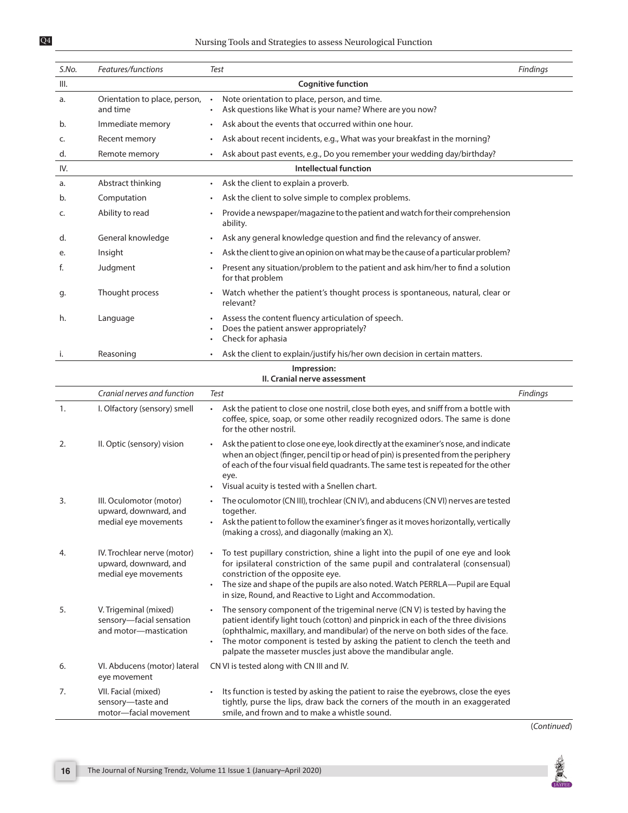| S.No. | Features/functions                                                           | Test                                                                                                                                                                                                                                                                                                                                                                                                                           | Findings |
|-------|------------------------------------------------------------------------------|--------------------------------------------------------------------------------------------------------------------------------------------------------------------------------------------------------------------------------------------------------------------------------------------------------------------------------------------------------------------------------------------------------------------------------|----------|
| III.  |                                                                              | <b>Cognitive function</b>                                                                                                                                                                                                                                                                                                                                                                                                      |          |
| a.    | Orientation to place, person,<br>and time                                    | Note orientation to place, person, and time.<br>Ask questions like What is your name? Where are you now?                                                                                                                                                                                                                                                                                                                       |          |
| b.    | Immediate memory                                                             | Ask about the events that occurred within one hour.                                                                                                                                                                                                                                                                                                                                                                            |          |
| c.    | Recent memory                                                                | Ask about recent incidents, e.g., What was your breakfast in the morning?                                                                                                                                                                                                                                                                                                                                                      |          |
| d.    | Remote memory                                                                | Ask about past events, e.g., Do you remember your wedding day/birthday?<br>$\bullet$                                                                                                                                                                                                                                                                                                                                           |          |
| IV.   |                                                                              | Intellectual function                                                                                                                                                                                                                                                                                                                                                                                                          |          |
| a.    | Abstract thinking                                                            | Ask the client to explain a proverb.                                                                                                                                                                                                                                                                                                                                                                                           |          |
| b.    | Computation                                                                  | Ask the client to solve simple to complex problems.                                                                                                                                                                                                                                                                                                                                                                            |          |
| c.    | Ability to read                                                              | Provide a newspaper/magazine to the patient and watch for their comprehension<br>ability.                                                                                                                                                                                                                                                                                                                                      |          |
| d.    | General knowledge                                                            | Ask any general knowledge question and find the relevancy of answer.                                                                                                                                                                                                                                                                                                                                                           |          |
| e.    | Insight                                                                      | Ask the client to give an opinion on what may be the cause of a particular problem?                                                                                                                                                                                                                                                                                                                                            |          |
| f.    | Judgment                                                                     | Present any situation/problem to the patient and ask him/her to find a solution<br>for that problem                                                                                                                                                                                                                                                                                                                            |          |
| g.    | Thought process                                                              | Watch whether the patient's thought process is spontaneous, natural, clear or<br>relevant?                                                                                                                                                                                                                                                                                                                                     |          |
| h.    | Language                                                                     | Assess the content fluency articulation of speech.<br>Does the patient answer appropriately?<br>Check for aphasia                                                                                                                                                                                                                                                                                                              |          |
| i.    | Reasoning                                                                    | Ask the client to explain/justify his/her own decision in certain matters.<br>$\bullet$                                                                                                                                                                                                                                                                                                                                        |          |
|       |                                                                              | Impression:                                                                                                                                                                                                                                                                                                                                                                                                                    |          |
|       |                                                                              | II. Cranial nerve assessment                                                                                                                                                                                                                                                                                                                                                                                                   |          |
|       | Cranial nerves and function                                                  | Test                                                                                                                                                                                                                                                                                                                                                                                                                           | Findings |
| 1.    | I. Olfactory (sensory) smell                                                 | • Ask the patient to close one nostril, close both eyes, and sniff from a bottle with<br>coffee, spice, soap, or some other readily recognized odors. The same is done<br>for the other nostril.                                                                                                                                                                                                                               |          |
| 2.    | II. Optic (sensory) vision                                                   | Ask the patient to close one eye, look directly at the examiner's nose, and indicate<br>$\bullet$<br>when an object (finger, pencil tip or head of pin) is presented from the periphery<br>of each of the four visual field quadrants. The same test is repeated for the other<br>eye.<br>Visual acuity is tested with a Snellen chart.                                                                                        |          |
| 3.    | III. Oculomotor (motor)<br>upward, downward, and<br>medial eye movements     | The oculomotor (CN III), trochlear (CN IV), and abducens (CN VI) nerves are tested<br>together.<br>Ask the patient to follow the examiner's finger as it moves horizontally, vertically<br>(making a cross), and diagonally (making an X).                                                                                                                                                                                     |          |
| 4.    | IV. Trochlear nerve (motor)<br>upward, downward, and<br>medial eye movements | To test pupillary constriction, shine a light into the pupil of one eye and look<br>$\bullet$<br>for ipsilateral constriction of the same pupil and contralateral (consensual)<br>constriction of the opposite eye.<br>The size and shape of the pupils are also noted. Watch PERRLA—Pupil are Equal<br>in size, Round, and Reactive to Light and Accommodation.                                                               |          |
| 5.    | V. Trigeminal (mixed)<br>sensory-facial sensation<br>and motor-mastication   | The sensory component of the trigeminal nerve (CN V) is tested by having the<br>$\bullet$<br>patient identify light touch (cotton) and pinprick in each of the three divisions<br>(ophthalmic, maxillary, and mandibular) of the nerve on both sides of the face.<br>The motor component is tested by asking the patient to clench the teeth and<br>$\bullet$<br>palpate the masseter muscles just above the mandibular angle. |          |
| 6.    | VI. Abducens (motor) lateral<br>eye movement                                 | CN VI is tested along with CN III and IV.                                                                                                                                                                                                                                                                                                                                                                                      |          |
| 7.    | VII. Facial (mixed)<br>sensory-taste and<br>motor-facial movement            | Its function is tested by asking the patient to raise the eyebrows, close the eyes<br>$\bullet$<br>tightly, purse the lips, draw back the corners of the mouth in an exaggerated<br>smile, and frown and to make a whistle sound.                                                                                                                                                                                              |          |

(*Continued*)

震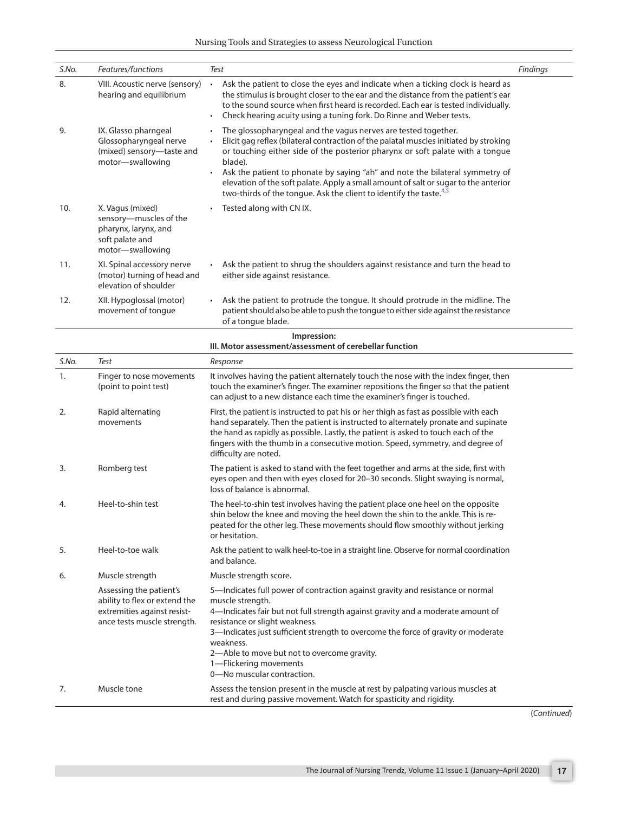| S.No. | Features/functions                                                                                                     | Test                                                                                                                                                                                                                                                                                                                                                                                                                                                                                                                                   | Findings |
|-------|------------------------------------------------------------------------------------------------------------------------|----------------------------------------------------------------------------------------------------------------------------------------------------------------------------------------------------------------------------------------------------------------------------------------------------------------------------------------------------------------------------------------------------------------------------------------------------------------------------------------------------------------------------------------|----------|
| 8.    | VIII. Acoustic nerve (sensory)<br>hearing and equilibrium                                                              | Ask the patient to close the eyes and indicate when a ticking clock is heard as<br>$\bullet$<br>the stimulus is brought closer to the ear and the distance from the patient's ear<br>to the sound source when first heard is recorded. Each ear is tested individually.<br>Check hearing acuity using a tuning fork. Do Rinne and Weber tests.                                                                                                                                                                                         |          |
| 9.    | IX. Glasso pharngeal<br>Glossopharyngeal nerve<br>(mixed) sensory-taste and<br>motor-swallowing                        | The glossopharyngeal and the vagus nerves are tested together.<br>$\bullet$<br>Elicit gag reflex (bilateral contraction of the palatal muscles initiated by stroking<br>or touching either side of the posterior pharynx or soft palate with a tongue<br>blade).<br>Ask the patient to phonate by saying "ah" and note the bilateral symmetry of<br>$\bullet$<br>elevation of the soft palate. Apply a small amount of salt or sugar to the anterior<br>two-thirds of the tongue. Ask the client to identify the taste. <sup>4,5</sup> |          |
| 10.   | X. Vagus (mixed)<br>sensory-muscles of the<br>pharynx, larynx, and<br>soft palate and<br>motor-swallowing              | Tested along with CN IX.                                                                                                                                                                                                                                                                                                                                                                                                                                                                                                               |          |
| 11.   | XI. Spinal accessory nerve<br>(motor) turning of head and<br>elevation of shoulder                                     | Ask the patient to shrug the shoulders against resistance and turn the head to<br>either side against resistance.                                                                                                                                                                                                                                                                                                                                                                                                                      |          |
| 12.   | XII. Hypoglossal (motor)<br>movement of tongue                                                                         | Ask the patient to protrude the tongue. It should protrude in the midline. The<br>patient should also be able to push the tongue to either side against the resistance<br>of a tongue blade.                                                                                                                                                                                                                                                                                                                                           |          |
|       |                                                                                                                        | Impression:<br>III. Motor assessment/assessment of cerebellar function                                                                                                                                                                                                                                                                                                                                                                                                                                                                 |          |
| S.No. | Test                                                                                                                   | Response                                                                                                                                                                                                                                                                                                                                                                                                                                                                                                                               |          |
| 1.    | Finger to nose movements<br>(point to point test)                                                                      | It involves having the patient alternately touch the nose with the index finger, then<br>touch the examiner's finger. The examiner repositions the finger so that the patient<br>can adjust to a new distance each time the examiner's finger is touched.                                                                                                                                                                                                                                                                              |          |
| 2.    | Rapid alternating<br>movements                                                                                         | First, the patient is instructed to pat his or her thigh as fast as possible with each<br>hand separately. Then the patient is instructed to alternately pronate and supinate<br>the hand as rapidly as possible. Lastly, the patient is asked to touch each of the<br>fingers with the thumb in a consecutive motion. Speed, symmetry, and degree of<br>difficulty are noted.                                                                                                                                                         |          |
| 3.    | Romberg test                                                                                                           | The patient is asked to stand with the feet together and arms at the side, first with<br>eyes open and then with eyes closed for 20-30 seconds. Slight swaying is normal,<br>loss of balance is abnormal.                                                                                                                                                                                                                                                                                                                              |          |
| 4.    | Heel-to-shin test                                                                                                      | The heel-to-shin test involves having the patient place one heel on the opposite<br>shin below the knee and moving the heel down the shin to the ankle. This is re-<br>peated for the other leg. These movements should flow smoothly without jerking<br>or hesitation.                                                                                                                                                                                                                                                                |          |
| 5.    | Heel-to-toe walk                                                                                                       | Ask the patient to walk heel-to-toe in a straight line. Observe for normal coordination<br>and balance.                                                                                                                                                                                                                                                                                                                                                                                                                                |          |
| 6.    | Muscle strength                                                                                                        | Muscle strength score.                                                                                                                                                                                                                                                                                                                                                                                                                                                                                                                 |          |
|       | Assessing the patient's<br>ability to flex or extend the<br>extremities against resist-<br>ance tests muscle strength. | 5-Indicates full power of contraction against gravity and resistance or normal<br>muscle strength.<br>4-Indicates fair but not full strength against gravity and a moderate amount of<br>resistance or slight weakness.<br>3-Indicates just sufficient strength to overcome the force of gravity or moderate<br>weakness.<br>2-Able to move but not to overcome gravity.<br>1-Flickering movements<br>0-No muscular contraction.                                                                                                       |          |
| 7.    | Muscle tone                                                                                                            | Assess the tension present in the muscle at rest by palpating various muscles at<br>rest and during passive movement. Watch for spasticity and rigidity.                                                                                                                                                                                                                                                                                                                                                                               |          |

(*Continued*)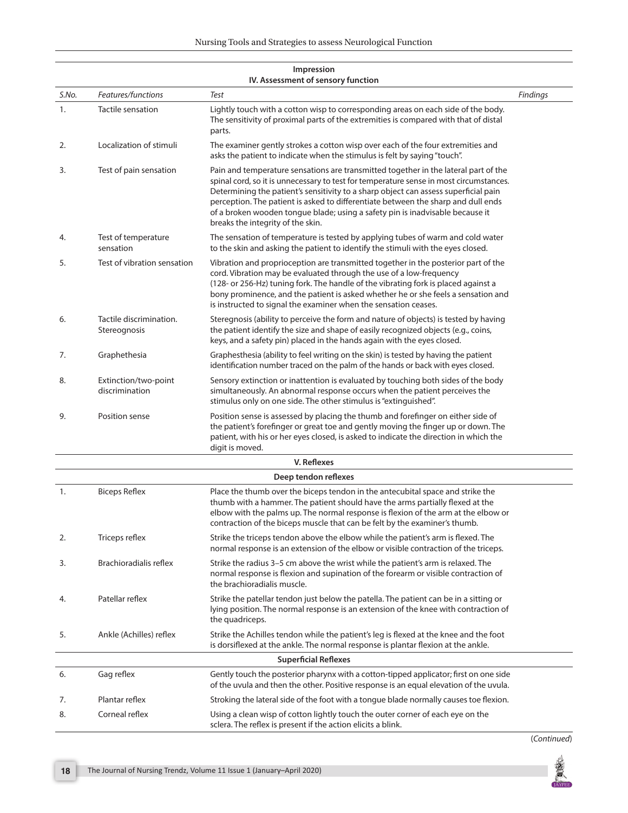|       |                                         | IV. Assessment of sensory function                                                                                                                                                                                                                                                                                                                                                                                                                                              |          |
|-------|-----------------------------------------|---------------------------------------------------------------------------------------------------------------------------------------------------------------------------------------------------------------------------------------------------------------------------------------------------------------------------------------------------------------------------------------------------------------------------------------------------------------------------------|----------|
| S.No. | Features/functions                      | Test                                                                                                                                                                                                                                                                                                                                                                                                                                                                            | Findings |
| 1.    | Tactile sensation                       | Lightly touch with a cotton wisp to corresponding areas on each side of the body.<br>The sensitivity of proximal parts of the extremities is compared with that of distal<br>parts.                                                                                                                                                                                                                                                                                             |          |
| 2.    | Localization of stimuli                 | The examiner gently strokes a cotton wisp over each of the four extremities and<br>asks the patient to indicate when the stimulus is felt by saying "touch".                                                                                                                                                                                                                                                                                                                    |          |
| 3.    | Test of pain sensation                  | Pain and temperature sensations are transmitted together in the lateral part of the<br>spinal cord, so it is unnecessary to test for temperature sense in most circumstances.<br>Determining the patient's sensitivity to a sharp object can assess superficial pain<br>perception. The patient is asked to differentiate between the sharp and dull ends<br>of a broken wooden tongue blade; using a safety pin is inadvisable because it<br>breaks the integrity of the skin. |          |
| 4.    | Test of temperature<br>sensation        | The sensation of temperature is tested by applying tubes of warm and cold water<br>to the skin and asking the patient to identify the stimuli with the eyes closed.                                                                                                                                                                                                                                                                                                             |          |
| 5.    | Test of vibration sensation             | Vibration and proprioception are transmitted together in the posterior part of the<br>cord. Vibration may be evaluated through the use of a low-frequency<br>(128- or 256-Hz) tuning fork. The handle of the vibrating fork is placed against a<br>bony prominence, and the patient is asked whether he or she feels a sensation and<br>is instructed to signal the examiner when the sensation ceases.                                                                         |          |
| 6.    | Tactile discrimination.<br>Stereognosis | Steregnosis (ability to perceive the form and nature of objects) is tested by having<br>the patient identify the size and shape of easily recognized objects (e.g., coins,<br>keys, and a safety pin) placed in the hands again with the eyes closed.                                                                                                                                                                                                                           |          |
| 7.    | Graphethesia                            | Graphesthesia (ability to feel writing on the skin) is tested by having the patient<br>identification number traced on the palm of the hands or back with eyes closed.                                                                                                                                                                                                                                                                                                          |          |
| 8.    | Extinction/two-point<br>discrimination  | Sensory extinction or inattention is evaluated by touching both sides of the body<br>simultaneously. An abnormal response occurs when the patient perceives the<br>stimulus only on one side. The other stimulus is "extinguished".                                                                                                                                                                                                                                             |          |
| 9.    | Position sense                          | Position sense is assessed by placing the thumb and forefinger on either side of<br>the patient's forefinger or great toe and gently moving the finger up or down. The<br>patient, with his or her eyes closed, is asked to indicate the direction in which the<br>digit is moved.                                                                                                                                                                                              |          |
|       |                                         | V. Reflexes                                                                                                                                                                                                                                                                                                                                                                                                                                                                     |          |
|       |                                         | Deep tendon reflexes                                                                                                                                                                                                                                                                                                                                                                                                                                                            |          |
| 1.    | <b>Biceps Reflex</b>                    | Place the thumb over the biceps tendon in the antecubital space and strike the<br>thumb with a hammer. The patient should have the arms partially flexed at the<br>elbow with the palms up. The normal response is flexion of the arm at the elbow or<br>contraction of the biceps muscle that can be felt by the examiner's thumb.                                                                                                                                             |          |
| 2.    | Triceps reflex                          | Strike the triceps tendon above the elbow while the patient's arm is flexed. The<br>normal response is an extension of the elbow or visible contraction of the triceps.                                                                                                                                                                                                                                                                                                         |          |
| 3.    | Brachioradialis reflex                  | Strike the radius 3–5 cm above the wrist while the patient's arm is relaxed. The<br>normal response is flexion and supination of the forearm or visible contraction of<br>the brachioradialis muscle.                                                                                                                                                                                                                                                                           |          |
| 4.    | Patellar reflex                         | Strike the patellar tendon just below the patella. The patient can be in a sitting or<br>lying position. The normal response is an extension of the knee with contraction of<br>the quadriceps.                                                                                                                                                                                                                                                                                 |          |
| 5.    | Ankle (Achilles) reflex                 | Strike the Achilles tendon while the patient's leg is flexed at the knee and the foot<br>is dorsiflexed at the ankle. The normal response is plantar flexion at the ankle.                                                                                                                                                                                                                                                                                                      |          |
|       |                                         | <b>Superficial Reflexes</b>                                                                                                                                                                                                                                                                                                                                                                                                                                                     |          |
| 6.    | Gag reflex                              | Gently touch the posterior pharynx with a cotton-tipped applicator; first on one side<br>of the uvula and then the other. Positive response is an equal elevation of the uvula.                                                                                                                                                                                                                                                                                                 |          |
| 7.    | Plantar reflex                          | Stroking the lateral side of the foot with a tongue blade normally causes toe flexion.                                                                                                                                                                                                                                                                                                                                                                                          |          |
| 8.    | Corneal reflex                          | Using a clean wisp of cotton lightly touch the outer corner of each eye on the<br>sclera. The reflex is present if the action elicits a blink.                                                                                                                                                                                                                                                                                                                                  |          |

# **Impression**

(*Continued*)

夏 **TAYPE**